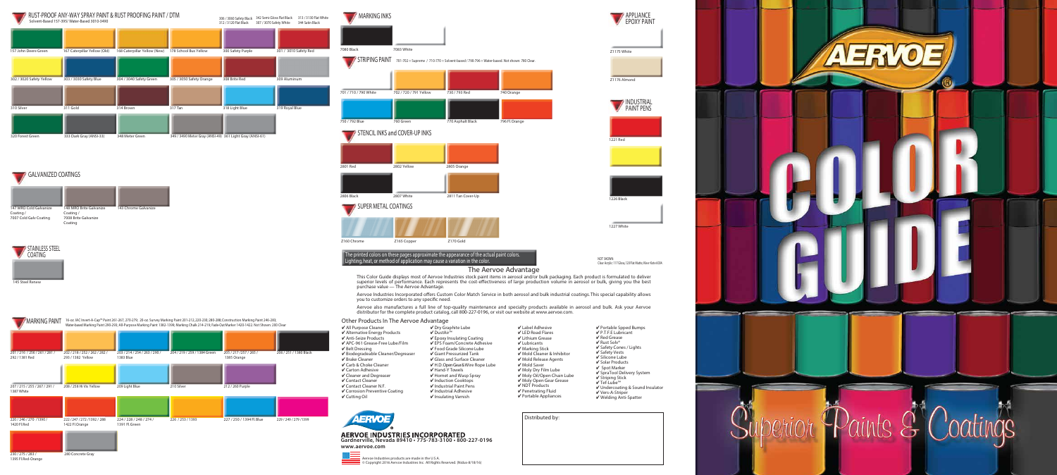Distributed by:





7080 Black 7083 White

**STENCIL INKS and COVER-UP INKS** 

**MARKING INKS** 



Z160 Chrome  $Z165$  Copper  $Z170$  Gold

**STRIPING PAINT 701-702 = Supreme** / 710-770 = Solvent-based / 790-796 = Water-based. Not shown: 780 Clear.

**701** / 710 / 790 White **702** / 720 / 791 Yellow 730 / 793 Red 740 Orange

750 / 792 Blue 760 Green 770 Asphalt Black 796 Fl. Orange

2801 Red 2802 Yellow 2805 Orange

2806 Black 2807 White 2811 Tan Cover-Up

**SUPER METAL COATINGS**



**The printed colors on these pages approximate the appearance of the actual paint colors.**

## **The Aervoe Advantage**

This Color Guide displays most of Aervoe Industries stock paint items in aerosol and/or bulk packaging. Each product is formulated to deliver superior levels of performance. Each represents the cost-effectiveness of large production volume in aerosol or bulk, giving you the best purchase value — The Aervoe Advantage.

Aervoe Industries Incorporated offers Custom Color Match Service in both aerosol and bulk industrial coatings. This special capability allows you to customize orders to any specific need.

### **AERVOE INDUSTRIES INCORPORATED Gardnerville, Nevada 89410 • 775-783-3100 • 800-227-0196 www.aervoe.com**



Aervoe also manufactures a full line of top-quality maintenance and specialty products available in aerosol and bulk. Ask your Aervoe distributor for the complete product catalog, call 800-227-0196, or visit our website at www.aervoe.com.

| ✔ Portable Spped Bumps<br>$\sqrt{}$ P.T.F.E Lubricant<br>✔ Red Grease<br>✔ Rust Solv®<br>√ Safety Cones / Lights<br>✔ Safety Vests<br>✔ Silicone Lube<br>$\overline{\mathsf{V}}$ Solar Products<br>✔ Spot Marker<br>√ SpraTool Delivery System<br>√ Striping Stick<br>√ Tef-Lube™<br>✔ Undercoating & Sound Insulator |
|-----------------------------------------------------------------------------------------------------------------------------------------------------------------------------------------------------------------------------------------------------------------------------------------------------------------------|
| ✔ Vers-A-Striper<br>✔ Welding Anti-Spatter                                                                                                                                                                                                                                                                            |
|                                                                                                                                                                                                                                                                                                                       |





- ✔ Brake Cleaner
- ✔ Carb & Choke Cleaner
- ✔ Carton Adhesive
- ✔ Contact Cleaner
- ✔ Contact Cleaner N.F.
- 
- ✔ Dry Graphite Lube
	-
	-
- 
- ✔ Cleaner and Degreaser
- 
- 

✔ Epoxy Insulating Coating ✔ EPS Foam/Concrete Adhesive ✔ Food Grade Silicone Lube



#### ✔ Giant Pressurized Tank ✔ Glass and Surface Cleaner ✔ H.D. Open Gear & Wire Rope Lube ✔ Hand-Y Towels ✔ Hornet and Wasp Spray

✔ Induction Cooktops



✔ Label Adhesive ✔ LED Road Flares ✔ Lithium Grease ✔ Lubricants ✔ Marking Stick ✔ Mold Cleaner & Inhibitor ✔ Mold Release Agents

- ✔ Mold Saver ✔ Moly Dry Film Lube ✔ Moly Oil/Open Chain Lube
	- ✔ Moly Open Gear Grease
		- ✔ NDT Products
		- ✔ Penetrating Fluid
		-

✔ Portable Appliances

Aervoe Industries products are made in the U.S.A. © Copyright 2016 Aervoe Industries Inc. All Rights Reserved. (Nidus-8/18/16)

Lighting, heat, or method of application may cause a variation in the color. **Notify a structure of a structure of the color** 

### **Other Products In The Aervoe Advantage**



# **GALVANIZED COATINGS**



**280** Concrete Gray

**230** / 275 / 283 / 1395 Fl. Red-Orange